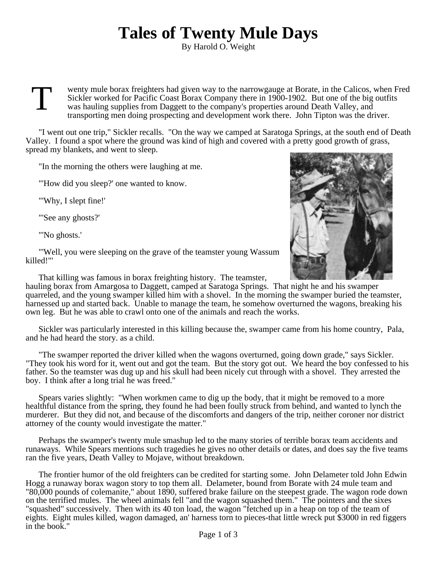## **Tales of Twenty Mule Days**

By Harold O. Weight

T wenty mule borax freighters had given way to the narrowgauge at Borate, in the Calicos, when Fred Sickler worked for Pacific Coast Borax Company there in 1900-1902. But one of the big outfits was hauling supplies from Daggett to the company's properties around Death Valley, and transporting men doing prospecting and development work there. John Tipton was the driver.

"I went out one trip," Sickler recalls. "On the way we camped at Saratoga Springs, at the south end of Death Valley. I found a spot where the ground was kind of high and covered with a pretty good growth of grass, spread my blankets, and went to sleep.

"In the morning the others were laughing at me.

"'How did you sleep?' one wanted to know.

"'Why, I slept fine!'

"'See any ghosts?'

"'No ghosts.'

"'Well, you were sleeping on the grave of the teamster young Wassum killed!"'

That killing was famous in borax freighting history. The teamster,

hauling borax from Amargosa to Daggett, camped at Saratoga Springs. That night he and his swamper quarreled, and the young swamper killed him with a shovel. In the morning the swamper buried the teamster, harnessed up and started back. Unable to manage the team, he somehow overturned the wagons, breaking his own leg. But he was able to crawl onto one of the animals and reach the works.

Sickler was particularly interested in this killing because the, swamper came from his home country, Pala, and he had heard the story. as a child.

"The swamper reported the driver killed when the wagons overturned, going down grade," says Sickler. "They took his word for it, went out and got the team. But the story got out. We heard the boy confessed to his father. So the teamster was dug up and his skull had been nicely cut through with a shovel. They arrested the boy. I think after a long trial he was freed."

Spears varies slightly: "When workmen came to dig up the body, that it might be removed to a more healthful distance from the spring, they found he had been foully struck from behind, and wanted to lynch the murderer. But they did not, and because of the discomforts and dangers of the trip, neither coroner nor district attorney of the county would investigate the matter."

Perhaps the swamper's twenty mule smashup led to the many stories of terrible borax team accidents and runaways. While Spears mentions such tragedies he gives no other details or dates, and does say the five teams ran the five years, Death Valley to Mojave, without breakdown.

The frontier humor of the old freighters can be credited for starting some. John Delameter told John Edwin Hogg a runaway borax wagon story to top them all. Delameter, bound from Borate with 24 mule team and "80,000 pounds of colemanite," about 1890, suffered brake failure on the steepest grade. The wagon rode down on the terrified mules. The wheel animals fell "and the wagon squashed them." The pointers and the sixes "squashed" successively. Then with its 40 ton load, the wagon "fetched up in a heap on top of the team of eights. Eight mules killed, wagon damaged, an' harness torn to pieces-that little wreck put \$3000 in red figgers in the book."

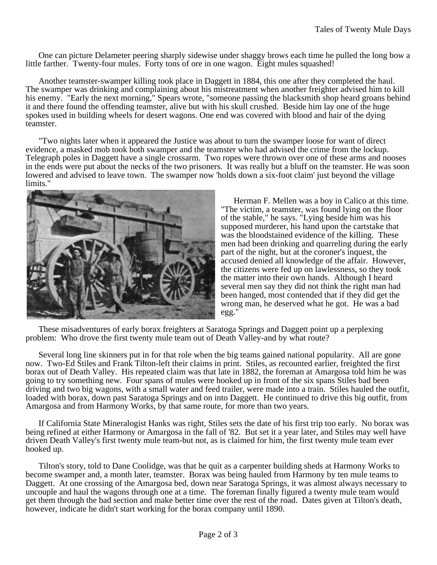One can picture Delameter peering sharply sidewise under shaggy brows each time he pulled the long bow a little farther. Twenty-four mules. Forty tons of ore in one wagon. Eight mules squashed!

Another teamster-swamper killing took place in Daggett in 1884, this one after they completed the haul. The swamper was drinking and complaining about his mistreatment when another freighter advised him to kill his enemy. "Early the next morning," Spears wrote, "someone passing the blacksmith shop heard groans behind it and there found the offending teamster, alive but with his skull crushed. Beside him lay one of the huge spokes used in building wheels for desert wagons. One end was covered with blood and hair of the dying teamster.

"Two nights later when it appeared the Justice was about to turn the swamper loose for want of direct evidence, a masked mob took both swamper and the teamster who had advised the crime from the lockup. Telegraph poles in Daggett have a single crossarm. Two ropes were thrown over one of these arms and nooses in the ends were put about the necks of the two prisoners. It was really but a bluff on the teamster. He was soon lowered and advised to leave town. The swamper now 'holds down a six-foot claim' just beyond the village limits."



Herman F. Mellen was a boy in Calico at this time. "The victim, a teamster, was found lying on the floor of the stable," he says. "Lying beside him was his supposed murderer, his hand upon the cartstake that was the bloodstained evidence of the killing. These men had been drinking and quarreling during the early part of the night, but at the coroner's inquest, the accused denied all knowledge of the affair. However, the citizens were fed up on lawlessness, so they took the matter into their own hands. Although I heard several men say they did not think the right man had been hanged, most contended that if they did get the wrong man, he deserved what he got. He was a bad egg."

These misadventures of early borax freighters at Saratoga Springs and Daggett point up a perplexing problem: Who drove the first twenty mule team out of Death Valley-and by what route?

Several long line skinners put in for that role when the big teams gained national popularity. All are gone now. Two-Ed Stiles and Frank Tilton-left their claims in print. Stiles, as recounted earlier, freighted the first borax out of Death Valley. His repeated claim was that late in 1882, the foreman at Amargosa told him he was going to try something new. Four spans of mules were hooked up in front of the six spans Stiles bad been driving and two big wagons, with a small water and feed trailer, were made into a train. Stiles hauled the outfit, loaded with borax, down past Saratoga Springs and on into Daggett. He continued to drive this big outfit, from Amargosa and from Harmony Works, by that same route, for more than two years.

If California State Mineralogist Hanks was right, Stiles sets the date of his first trip too early. No borax was being refined at either Harmony or Amargosa in the fall of '82. But set it a year later, and Stiles may well have driven Death Valley's first twenty mule team-but not, as is claimed for him, the first twenty mule team ever hooked up.

Tilton's story, told to Dane Coolidge, was that he quit as a carpenter building sheds at Harmony Works to become swamper and, a month later, teamster. Borax was being hauled from Harmony by ten mule teams to Daggett. At one crossing of the Amargosa bed, down near Saratoga Springs, it was almost always necessary to uncouple and haul the wagons through one at a time. The foreman finally figured a twenty mule team would get them through the bad section and make better time over the rest of the road. Dates given at Tilton's death, however, indicate he didn't start working for the borax company until 1890.